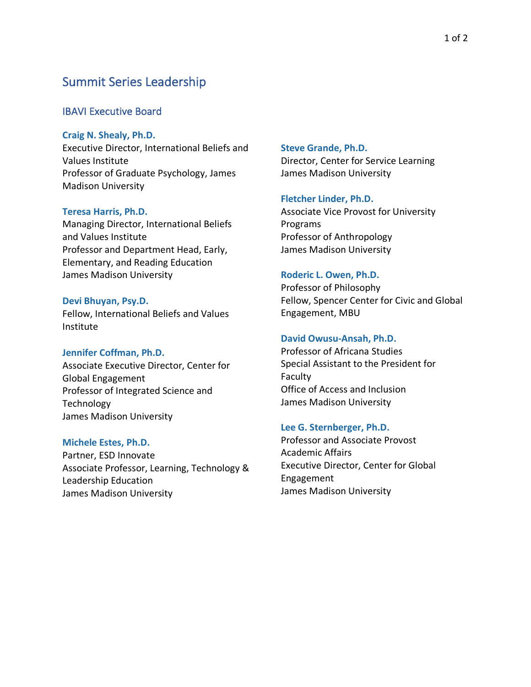# Summit Series Leadership

# IBAVI Executive Board

### **Craig N. Shealy, Ph.D.**

Executive Director, International Beliefs and Values Institute Professor of Graduate Psychology, James Madison University

#### **Teresa Harris, Ph.D.**

Managing Director, International Beliefs and Values Institute Professor and Department Head, Early, Elementary, and Reading Education James Madison University

#### **Devi Bhuyan, Psy.D.**

Fellow, International Beliefs and Values Institute

### **Jennifer Coffman, Ph.D.**

Associate Executive Director, Center for Global Engagement Professor of Integrated Science and **Technology** James Madison University

#### **Michele Estes, Ph.D.**

Partner, ESD Innovate Associate Professor, Learning, Technology & Leadership Education James Madison University

**Steve Grande, Ph.D.**

Director, Center for Service Learning James Madison University

#### **Fletcher Linder, Ph.D.**

Associate Vice Provost for University Programs Professor of Anthropology James Madison University

#### **Roderic L. Owen, Ph.D.**

Professor of Philosophy Fellow, Spencer Center for Civic and Global Engagement, MBU

### **David Owusu-Ansah, Ph.D.**

Professor of Africana Studies Special Assistant to the President for Faculty Office of Access and Inclusion James Madison University

#### **Lee G. Sternberger, Ph.D.**

Professor and Associate Provost Academic Affairs Executive Director, Center for Global Engagement James Madison University